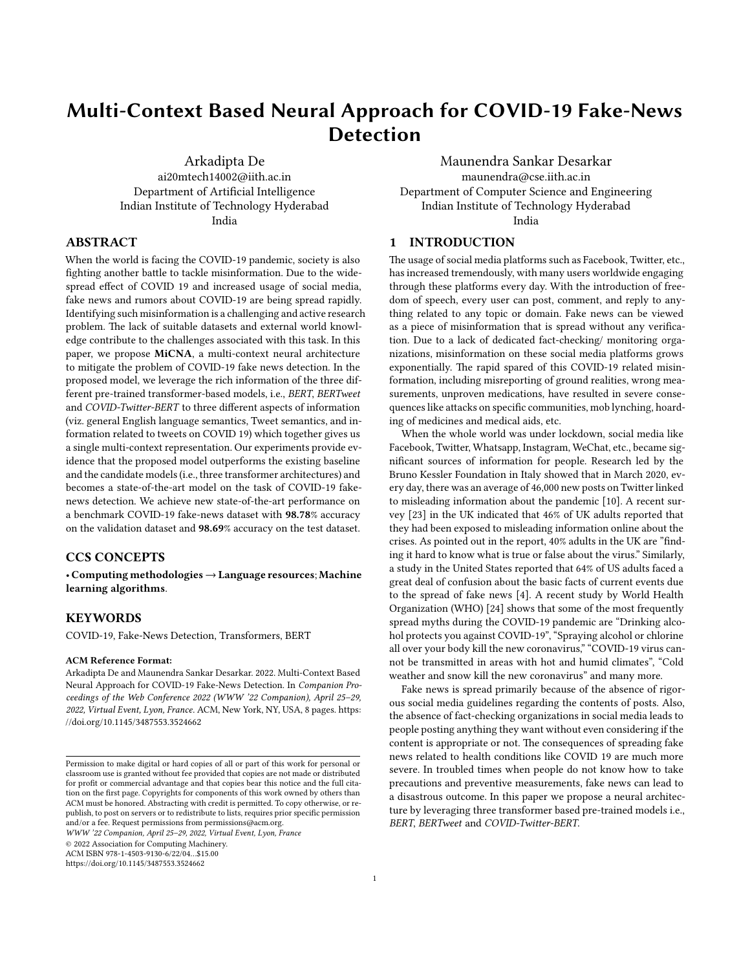# **Multi-Context Based Neural Approach for COVID-19 Fake-News Detection**

[Arkadipta De](https://orcid.org/0000-0002-0460-1458) ai20mtech14002@iith.ac.in Department of Artificial Intelligence Indian Institute of Technology Hyderabad India

# **ABSTRACT**

When the world is facing the COVID-19 pandemic, society is also fighting another battle to tackle misinformation. Due to the widespread effect of COVID 19 and increased usage of social media, fake news and rumors about COVID-19 are being spread rapidly. Identifying such misinformation is a challenging and active research problem. The lack of suitable datasets and external world knowledge contribute to the challenges associated with this task. In this paper, we propose **MiCNA**, a multi-context neural architecture to mitigate the problem of COVID-19 fake news detection. In the proposed model, we leverage the rich information of the three different pre-trained transformer-based models, i.e., *BERT*, *BERTweet* and *COVID-Twitter-BERT* to three different aspects of information (viz. general English language semantics, Tweet semantics, and information related to tweets on COVID 19) which together gives us a single multi-context representation. Our experiments provide evidence that the proposed model outperforms the existing baseline and the candidate models (i.e., three transformer architectures) and becomes a state-of-the-art model on the task of COVID-19 fakenews detection. We achieve new state-of-the-art performance on a benchmark COVID-19 fake-news dataset with **98.78**% accuracy on the validation dataset and **98.69**% accuracy on the test dataset.

# **CCS CONCEPTS**

• **Computing methodologies**→**Language resources**; **Machine learning algorithms**.

#### **KEYWORDS**

COVID-19, Fake-News Detection, Transformers, BERT

#### **ACM Reference Format:**

Arkadipta De and Maunendra Sankar Desarkar. 2022. Multi-Context Based Neural Approach for COVID-19 Fake-News Detection. In *Companion Proceedings of the Web Conference 2022 (WWW '22 Companion), April 25–29, 2022, Virtual Event, Lyon, France.* ACM, New York, NY, USA, [8](#page-7-0) pages. [https:](https://doi.org/10.1145/3487553.3524662) [//doi.org/10.1145/3487553.3524662](https://doi.org/10.1145/3487553.3524662)

*WWW '22 Companion, April 25–29, 2022, Virtual Event, Lyon, France*

© 2022 Association for Computing Machinery.

ACM ISBN 978-1-4503-9130-6/22/04…\$15.00

<https://doi.org/10.1145/3487553.3524662>

Maunendra Sankar Desarkar maunendra@cse.iith.ac.in Department of Computer Science and Engineering Indian Institute of Technology Hyderabad India

## **1 INTRODUCTION**

The usage of social media platforms such as Facebook, Twitter, etc., has increased tremendously, with many users worldwide engaging through these platforms every day. With the introduction of freedom of speech, every user can post, comment, and reply to anything related to any topic or domain. Fake news can be viewed as a piece of misinformation that is spread without any verification. Due to a lack of dedicated fact-checking/ monitoring organizations, misinformation on these social media platforms grows exponentially. The rapid spared of this COVID-19 related misinformation, including misreporting of ground realities, wrong measurements, unproven medications, have resulted in severe consequences like attacks on specific communities, mob lynching, hoarding of medicines and medical aids, etc.

When the whole world was under lockdown, social media like Facebook, Twitter, Whatsapp, Instagram, WeChat, etc., became significant sources of information for people. Research led by the Bruno Kessler Foundation in Italy showed that in March 2020, every day, there was an average of 46,000 new posts on Twitter linked to misleading information about the pandemic[[10](#page-6-0)]. A recent survey[[23\]](#page-6-1) in the UK indicated that 46% of UK adults reported that they had been exposed to misleading information online about the crises. As pointed out in the report, 40% adults in the UK are "finding it hard to know what is true or false about the virus." Similarly, a study in the United States reported that 64% of US adults faced a great deal of confusion about the basic facts of current events due to the spread of fake news[[4\]](#page-6-2). A recent study by World Health Organization (WHO) [\[24](#page-6-3)] shows that some of the most frequently spread myths during the COVID‐19 pandemic are "Drinking alcohol protects you against COVID‐19", "Spraying alcohol or chlorine all over your body kill the new coronavirus," "COVID‐19 virus cannot be transmitted in areas with hot and humid climates", "Cold weather and snow kill the new coronavirus" and many more.

Fake news is spread primarily because of the absence of rigorous social media guidelines regarding the contents of posts. Also, the absence of fact-checking organizations in social media leads to people posting anything they want without even considering if the content is appropriate or not. The consequences of spreading fake news related to health conditions like COVID 19 are much more severe. In troubled times when people do not know how to take precautions and preventive measurements, fake news can lead to a disastrous outcome. In this paper we propose a neural architecture by leveraging three transformer based pre-trained models i.e., *BERT*, *BERTweet* and *COVID-Twitter-BERT*.

Permission to make digital or hard copies of all or part of this work for personal or classroom use is granted without fee provided that copies are not made or distributed for profit or commercial advantage and that copies bear this notice and the full citation on the first page. Copyrights for components of this work owned by others than ACM must be honored. Abstracting with credit is permitted. To copy otherwise, or republish, to post on servers or to redistribute to lists, requires prior specific permission and/or a fee. Request permissions from permissions@acm.org.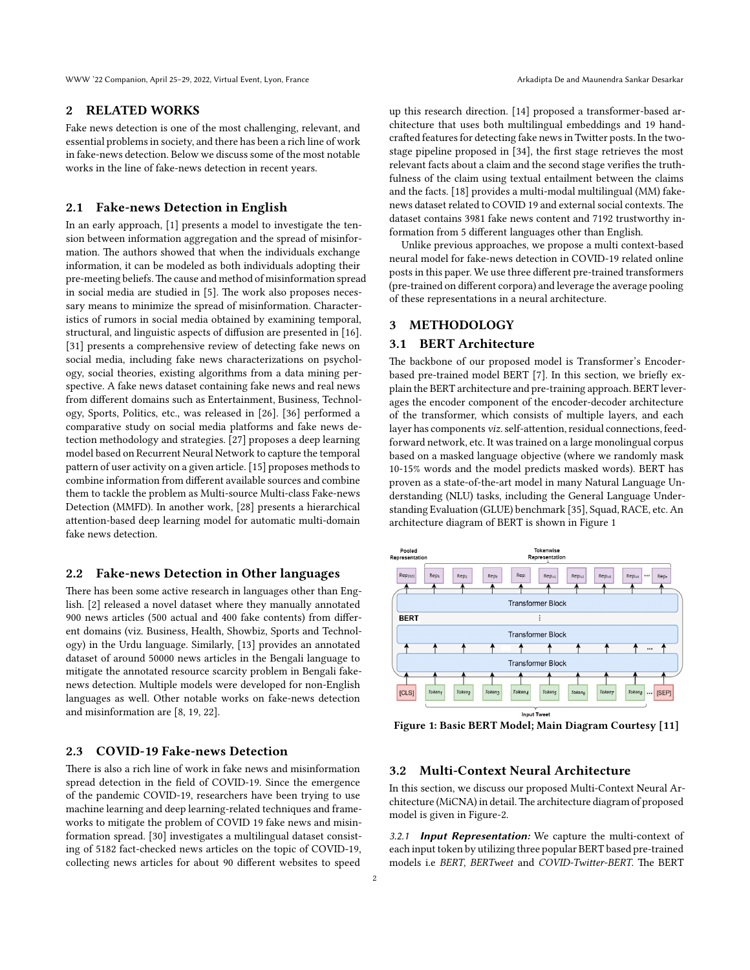#### **2 RELATED WORKS**

Fake news detection is one of the most challenging, relevant, and essential problems in society, and there has been a rich line of work in fake-news detection. Below we discuss some of the most notable works in the line of fake-news detection in recent years.

# **2.1 Fake-news Detection in English**

In an early approach,[[1\]](#page-6-4) presents a model to investigate the tension between information aggregation and the spread of misinformation. The authors showed that when the individuals exchange information, it can be modeled as both individuals adopting their pre-meeting beliefs.The cause and method of misinformation spread in social media are studied in [\[5\]](#page-6-5). The work also proposes necessary means to minimize the spread of misinformation. Characteristics of rumors in social media obtained by examining temporal, structural, and linguistic aspects of diffusion are presented in[[16](#page-6-6)]. [[31](#page-7-1)] presents a comprehensive review of detecting fake news on social media, including fake news characterizations on psychology, social theories, existing algorithms from a data mining perspective. A fake news dataset containing fake news and real news from different domains such as Entertainment, Business, Technology, Sports, Politics, etc., was released in[[26](#page-6-7)].[[36](#page-7-2)] performed a comparative study on social media platforms and fake news detection methodology and strategies.[[27\]](#page-6-8) proposes a deep learning model based on Recurrent Neural Network to capture the temporal pattern of user activity on a given article.[[15](#page-6-9)] proposes methods to combine information from different available sources and combine them to tackle the problem as Multi-source Multi-class Fake-news Detection (MMFD). In another work, [\[28\]](#page-6-10) presents a hierarchical attention-based deep learning model for automatic multi-domain fake news detection.

### **2.2 Fake-news Detection in Other languages**

There has been some active research in languages other than English.[[2\]](#page-6-11) released a novel dataset where they manually annotated 900 news articles (500 actual and 400 fake contents) from different domains (viz. Business, Health, Showbiz, Sports and Technology) in the Urdu language. Similarly, [\[13](#page-6-12)] provides an annotated dataset of around 50000 news articles in the Bengali language to mitigate the annotated resource scarcity problem in Bengali fakenews detection. Multiple models were developed for non-English languages as well. Other notable works on fake-news detection and misinformation are [\[8,](#page-6-13) [19](#page-6-14), [22\]](#page-6-15).

# **2.3 COVID-19 Fake-news Detection**

There is also a rich line of work in fake news and misinformation spread detection in the field of COVID-19. Since the emergence of the pandemic COVID-19, researchers have been trying to use machine learning and deep learning-related techniques and frameworks to mitigate the problem of COVID 19 fake news and misinformation spread.[[30\]](#page-7-3) investigates a multilingual dataset consisting of 5182 fact-checked news articles on the topic of COVID-19, collecting news articles for about 90 different websites to speed

up this research direction. [\[14](#page-6-16)] proposed a transformer-based architecture that uses both multilingual embeddings and 19 handcrafted features for detecting fake news in Twitter posts. In the twostage pipeline proposed in[[34\]](#page-7-4), the first stage retrieves the most relevant facts about a claim and the second stage verifies the truthfulness of the claim using textual entailment between the claims and the facts.[[18\]](#page-6-17) provides a multi-modal multilingual (MM) fakenews dataset related to COVID 19 and external social contexts. The dataset contains 3981 fake news content and 7192 trustworthy information from 5 different languages other than English.

Unlike previous approaches, we propose a multi context-based neural model for fake-news detection in COVID-19 related online posts in this paper. We use three different pre-trained transformers (pre-trained on different corpora) and leverage the average pooling of these representations in a neural architecture.

## **3 METHODOLOGY**

# **3.1 BERT Architecture**

The backbone of our proposed model is Transformer's Encoderbased pre-trained model BERT [\[7](#page-6-18)]. In this section, we briefly explain the BERT architecture and pre-training approach. BERT leverages the encoder component of the encoder-decoder architecture of the transformer, which consists of multiple layers, and each layer has components *viz.*self-attention, residual connections, feedforward network, etc. It was trained on a large monolingual corpus based on a masked language objective (where we randomly mask 10-15% words and the model predicts masked words). BERT has proven as a state-of-the-art model in many Natural Language Understanding (NLU) tasks, including the General Language Understanding Evaluation (GLUE) benchmark[[35\]](#page-7-5), Squad, RACE, etc. An architecture diagram of BERT is shown in Figure [1](#page-1-0)

<span id="page-1-0"></span>

**Figure 1: Basic BERT Model; Main Diagram Courtesy[[11\]](#page-6-19)**

### <span id="page-1-1"></span>**3.2 Multi-Context Neural Architecture**

In this section, we discuss our proposed Multi-Context Neural Architecture (MiCNA) in detail.The architecture diagram of proposed model is given in Figure[-2](#page-2-0).

3.2.1 *Input Representation:* We capture the multi-context of each input token by utilizing three popular BERT based pre-trained models i.e *BERT*, *BERTweet* and *COVID-Twitter-BERT*. The BERT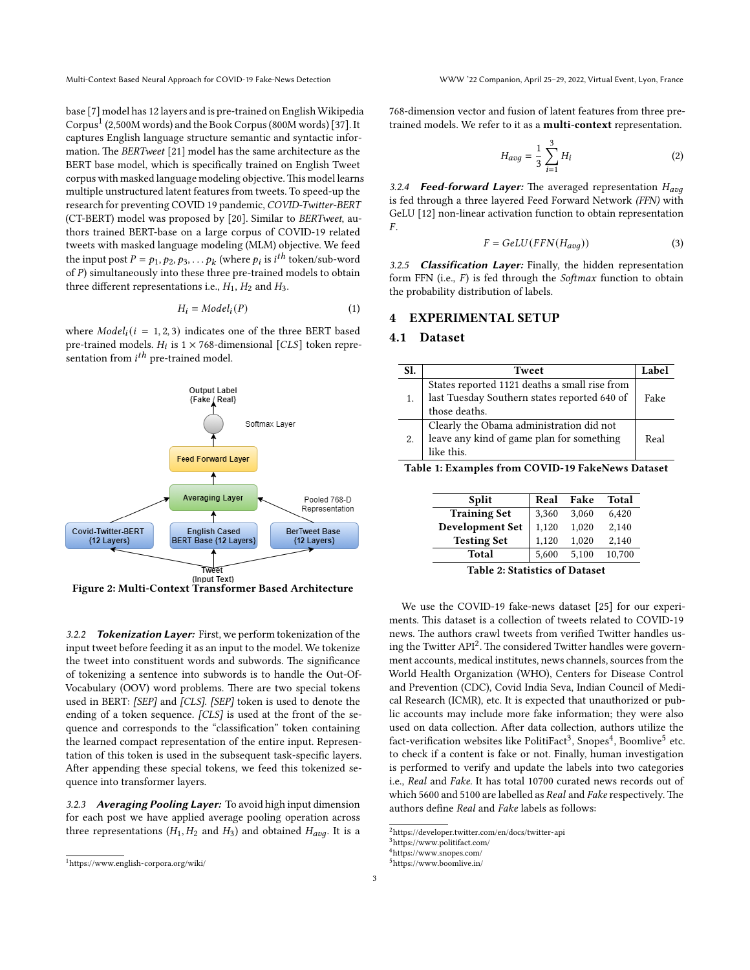Multi-Context Based Neural Approach for COVID-19 Fake-News Detection WWW '22 Companion, April 25–29, 2022, Virtual Event, Lyon, France

base[[7\]](#page-6-18) model has 12 layers and is pre-trained on English Wikipedia Corpus<sup>[1](#page-2-1)</sup>(2,500M words) and the Book Corpus (800M words) [[37\]](#page-7-6). It captures English language structure semantic and syntactic information. The *BERTweet* [[21](#page-6-20)] model has the same architecture as the BERT base model, which is specifically trained on English Tweet corpus with masked language modeling objective.This model learns multiple unstructured latent features from tweets. To speed-up the research for preventing COVID 19 pandemic, *COVID-Twitter-BERT* (CT-BERT) model was proposed by [\[20](#page-6-21)]. Similar to *BERTweet*, authors trained BERT-base on a large corpus of COVID-19 related tweets with masked language modeling (MLM) objective. We feed the input post  $P = p_1, p_2, p_3, \ldots p_k$  (where  $p_i$  is  $i^{th}$  token/sub-word of  $P$ ) simultaneously into these three pre-trained models to obtain three different representations i.e.,  $H_1$ ,  $H_2$  and  $H_3$ .

$$
H_i = Model_i(P) \tag{1}
$$

where  $Model_i(i = 1, 2, 3)$  indicates one of the three BERT based pre-trained models.  $H_i$  is  $1 \times 768$ -dimensional [CLS] token representation from  $i^{th}$  pre-trained model.

<span id="page-2-0"></span>

**Figure 2: Multi-Context Transformer Based Architecture**

3.2.2 *Tokenization Layer:* First, we perform tokenization of the input tweet before feeding it as an input to the model. We tokenize the tweet into constituent words and subwords. The significance of tokenizing a sentence into subwords is to handle the Out-Of-Vocabulary (OOV) word problems. There are two special tokens used in BERT: *[SEP]* and *[CLS]*. *[SEP]* token is used to denote the ending of a token sequence. *[CLS]* is used at the front of the sequence and corresponds to the "classification" token containing the learned compact representation of the entire input. Representation of this token is used in the subsequent task-specific layers. After appending these special tokens, we feed this tokenized sequence into transformer layers.

3.2.3 *Averaging Pooling Layer:* To avoid high input dimension for each post we have applied average pooling operation across three representations  $(H_1, H_2 \text{ and } H_3)$  and obtained  $H_{avg}$ . It is a 768-dimension vector and fusion of latent features from three pretrained models. We refer to it as a **multi-context** representation.

$$
H_{avg} = \frac{1}{3} \sum_{i=1}^{3} H_i
$$
 (2)

3.2.4 *Feed-forward Layer:* The averaged representation is fed through a three layered Feed Forward Network *(FFN)* with GeLU [\[12](#page-6-22)] non-linear activation function to obtain representation  $F_{\perp}$ 

$$
F = GelU(FFN(H_{avg}))
$$
\n(3)

3.2.5 *Classification Layer:* Finally, the hidden representation form FFN (i.e., F) is fed through the *Softmax* function to obtain the probability distribution of labels.

## **4 EXPERIMENTAL SETUP**

# **4.1 Dataset**

<span id="page-2-6"></span>

| Sl. | Tweet                                         | Label |
|-----|-----------------------------------------------|-------|
|     | States reported 1121 deaths a small rise from |       |
|     | last Tuesday Southern states reported 640 of  | Fake  |
|     | those deaths.                                 |       |
|     | Clearly the Obama administration did not      |       |
|     | leave any kind of game plan for something     | Real  |
|     | like this.                                    |       |
|     |                                               |       |

**Table 1: Examples from COVID-19 FakeNews Dataset**

| <b>Split</b>                      | Real  | Fake  | <b>Total</b> |  |
|-----------------------------------|-------|-------|--------------|--|
| <b>Training Set</b>               | 3.360 | 3.060 | 6,420        |  |
| <b>Development Set</b>            | 1.120 | 1.020 | 2.140        |  |
| <b>Testing Set</b>                | 1.120 | 1.020 | 2,140        |  |
| Total                             | 5.600 | 5.100 | 10,700       |  |
| $T11 \alpha \alpha \cdots \alpha$ |       |       |              |  |

**Table 2: Statistics of Dataset**

We use the COVID-19 fake-news dataset[[25](#page-6-23)] for our experiments. This dataset is a collection of tweets related to COVID-19 news. The authors crawl tweets from verified Twitter handles us-ing the Twitter API<sup>[2](#page-2-2)</sup>. The considered Twitter handles were government accounts, medical institutes, news channels, sources from the World Health Organization (WHO), Centers for Disease Control and Prevention (CDC), Covid India Seva, Indian Council of Medical Research (ICMR), etc. It is expected that unauthorized or public accounts may include more fake information; they were also used on data collection. After data collection, authors utilize the fact-verification websites like PolitiFact<sup>[3](#page-2-3)</sup>, Snopes<sup>[4](#page-2-4)</sup>, Boomlive<sup>[5](#page-2-5)</sup> etc. to check if a content is fake or not. Finally, human investigation is performed to verify and update the labels into two categories i.e., *Real* and *Fake*. It has total 10700 curated news records out of which 5600 and 5100 are labelled as *Real* and *Fake* respectively. The authors define *Real* and *Fake* labels as follows:

<span id="page-2-1"></span><sup>1</sup><https://www.english-corpora.org/wiki/>

<span id="page-2-2"></span> $^2$ <https://developer.twitter.com/en/docs/twitter-api>

<span id="page-2-3"></span><sup>3</sup><https://www.politifact.com/>

<span id="page-2-4"></span><sup>4</sup><https://www.snopes.com/>

<span id="page-2-5"></span><sup>5</sup><https://www.boomlive.in/>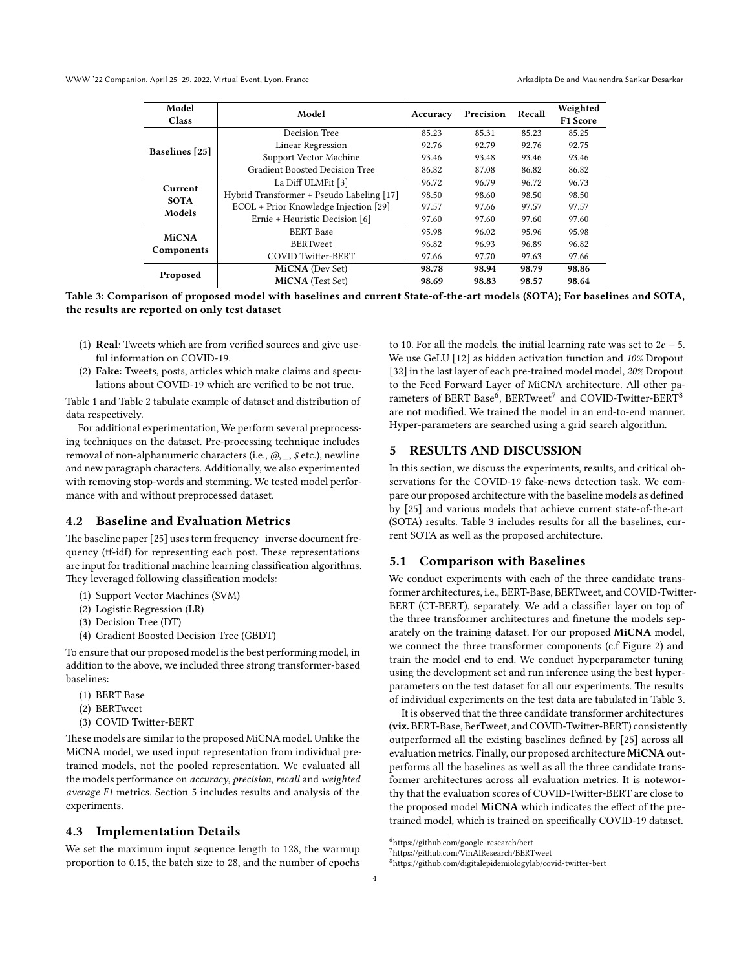<span id="page-3-4"></span>

| Model                 | Model                                     | Precision<br>Accuracy | Recall | Weighted |          |
|-----------------------|-------------------------------------------|-----------------------|--------|----------|----------|
| <b>Class</b>          |                                           |                       |        |          | F1 Score |
|                       | Decision Tree                             | 85.23                 | 85.31  | 85.23    | 85.25    |
| <b>Baselines</b> [25] | Linear Regression                         | 92.76                 | 92.79  | 92.76    | 92.75    |
|                       | Support Vector Machine                    | 93.46                 | 93.48  | 93.46    | 93.46    |
|                       | Gradient Boosted Decision Tree            | 86.82                 | 87.08  | 86.82    | 86.82    |
| Current               | La Diff ULMFit [3]                        | 96.72                 | 96.79  | 96.72    | 96.73    |
| <b>SOTA</b>           | Hybrid Transformer + Pseudo Labeling [17] | 98.50                 | 98.60  | 98.50    | 98.50    |
| Models                | ECOL + Prior Knowledge Injection [29]     | 97.57                 | 97.66  | 97.57    | 97.57    |
|                       | Ernie + Heuristic Decision [6]            | 97.60                 | 97.60  | 97.60    | 97.60    |
| <b>MiCNA</b>          | <b>BERT</b> Base                          | 95.98                 | 96.02  | 95.96    | 95.98    |
|                       | <b>BERTweet</b>                           | 96.82                 | 96.93  | 96.89    | 96.82    |
| Components            | <b>COVID Twitter-BERT</b>                 | 97.66                 | 97.70  | 97.63    | 97.66    |
|                       | <b>MiCNA</b> (Dev Set)                    | 98.78                 | 98.94  | 98.79    | 98.86    |
| Proposed              | <b>MiCNA</b> (Test Set)                   | 98.69                 | 98.83  | 98.57    | 98.64    |

**Table 3: Comparison of proposed model with baselines and current State-of-the-art models (SOTA); For baselines and SOTA, the results are reported on only test dataset**

- (1) **Real**: Tweets which are from verified sources and give useful information on COVID-19.
- (2) **Fake**: Tweets, posts, articles which make claims and speculations about COVID-19 which are verified to be not true.

Table [1](#page-2-6) and Table [2](#page-2-6) tabulate example of dataset and distribution of data respectively.

For additional experimentation, We perform several preprocessing techniques on the dataset. Pre-processing technique includes removal of non-alphanumeric characters (i.e., *@*, *\_*, *\$* etc.), newline and new paragraph characters. Additionally, we also experimented with removing stop-words and stemming. We tested model performance with and without preprocessed dataset.

#### **4.2 Baseline and Evaluation Metrics**

The baseline paper[[25\]](#page-6-23) uses term frequency–inverse document frequency (tf-idf) for representing each post. These representations are input for traditional machine learning classification algorithms. They leveraged following classification models:

- (1) Support Vector Machines (SVM)
- (2) Logistic Regression (LR)
- (3) Decision Tree (DT)
- (4) Gradient Boosted Decision Tree (GBDT)

To ensure that our proposed model is the best performing model, in addition to the above, we included three strong transformer-based baselines:

- (1) BERT Base
- (2) BERTweet
- (3) COVID Twitter-BERT

These models are similar to the proposed MiCNA model. Unlike the MiCNA model, we used input representation from individual pretrained models, not the pooled representation. We evaluated all the models performance on *accuracy*, *precision*, *recall* and *weighted average F1* metrics. Section [5](#page-3-0) includes results and analysis of the experiments.

### **4.3 Implementation Details**

We set the maximum input sequence length to 128, the warmup proportion to 0.15, the batch size to 28, and the number of epochs to 10. For all the models, the initial learning rate was set to  $2e - 5$ . We use GeLU [\[12\]](#page-6-22) as hidden activation function and *10%* Dropout [\[32](#page-7-7)] in the last layer of each pre-trained model model, *20%* Dropout to the Feed Forward Layer of MiCNA architecture. All other parameters of BERT Base $^6$  $^6$ , BERTweet $^7$  $^7$  and COVID-Twitter-BERT $^8$  $^8$ are not modified. We trained the model in an end-to-end manner. Hyper-parameters are searched using a grid search algorithm.

#### <span id="page-3-0"></span>**5 RESULTS AND DISCUSSION**

In this section, we discuss the experiments, results, and critical observations for the COVID-19 fake-news detection task. We compare our proposed architecture with the baseline models as defined by [\[25\]](#page-6-23) and various models that achieve current state-of-the-art (SOTA) results. Table [3](#page-3-4) includes results for all the baselines, current SOTA as well as the proposed architecture.

#### **5.1 Comparison with Baselines**

We conduct experiments with each of the three candidate transformer architectures, i.e., BERT-Base, BERTweet, and COVID-Twitter-BERT (CT-BERT), separately. We add a classifier layer on top of the three transformer architectures and finetune the models separately on the training dataset. For our proposed **MiCNA** model, we connect the three transformer components (c.f Figure [2](#page-2-0)) and train the model end to end. We conduct hyperparameter tuning using the development set and run inference using the best hyperparameters on the test dataset for all our experiments. The results of individual experiments on the test data are tabulated in Table [3.](#page-3-4)

It is observed that the three candidate transformer architectures (**viz.** BERT-Base, BerTweet, and COVID-Twitter-BERT) consistently outperformed all the existing baselines defined by[[25\]](#page-6-23) across all evaluation metrics. Finally, our proposed architecture **MiCNA** outperforms all the baselines as well as all the three candidate transformer architectures across all evaluation metrics. It is noteworthy that the evaluation scores of COVID-Twitter-BERT are close to the proposed model **MiCNA** which indicates the effect of the pretrained model, which is trained on specifically COVID-19 dataset.

<span id="page-3-1"></span> $^6$ <https://github.com/google-research/bert>

<span id="page-3-2"></span><sup>7</sup><https://github.com/VinAIResearch/BERTweet>

<span id="page-3-3"></span><sup>8</sup><https://github.com/digitalepidemiologylab/covid-twitter-bert>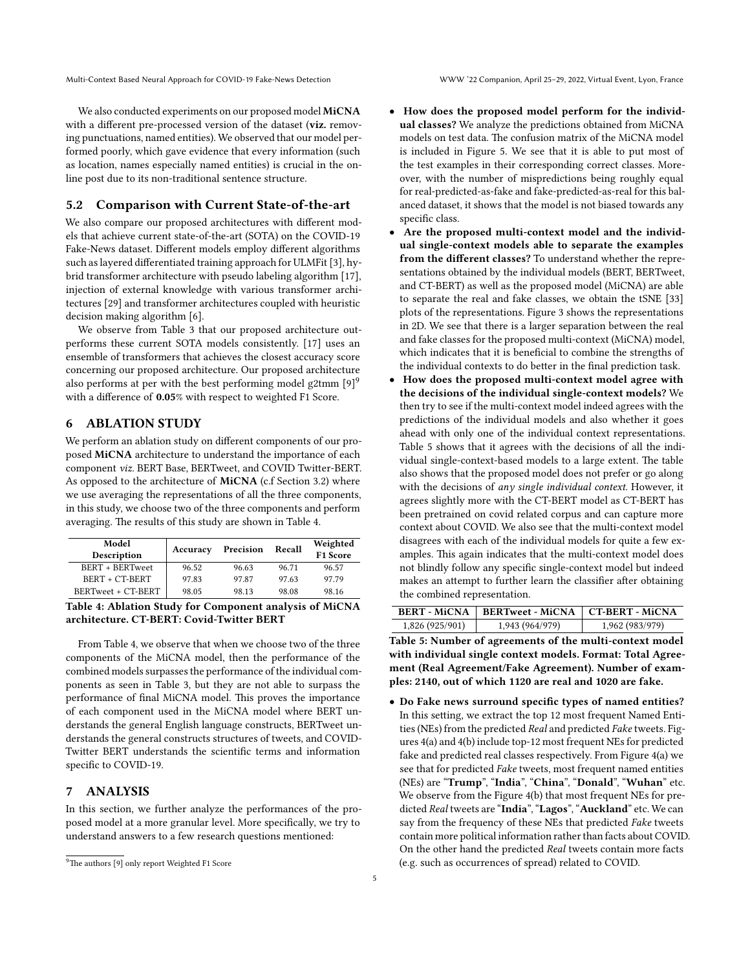Multi-Context Based Neural Approach for COVID-19 Fake-News Detection WWW '22 Companion, April 25–29, 2022, Virtual Event, Lyon, France

We also conducted experiments on our proposed model **MiCNA** with a different pre-processed version of the dataset (**viz.** removing punctuations, named entities). We observed that our model performed poorly, which gave evidence that every information (such as location, names especially named entities) is crucial in the online post due to its non-traditional sentence structure.

### **5.2 Comparison with Current State-of-the-art**

We also compare our proposed architectures with different models that achieve current state-of-the-art (SOTA) on the COVID-19 Fake-News dataset. Different models employ different algorithms such as layered differentiated training approach for ULMFit [\[3](#page-6-24)], hybrid transformer architecture with pseudo labeling algorithm[[17\]](#page-6-25), injection of external knowledge with various transformer architectures [\[29](#page-6-26)] and transformer architectures coupled with heuristic decision making algorithm [\[6\]](#page-6-27).

We observe from Table [3](#page-3-4) that our proposed architecture outperforms these current SOTA models consistently.[[17](#page-6-25)] uses an ensemble of transformers that achieves the closest accuracy score concerning our proposed architecture. Our proposed architecture alsoperforms at per with the best performing model g2tmm  $[9]$  $[9]$ <sup>[9](#page-4-0)</sup> with a difference of **0.05**% with respect to weighted F1 Score.

# **6 ABLATION STUDY**

We perform an ablation study on different components of our proposed **MiCNA** architecture to understand the importance of each component *viz.* BERT Base, BERTweet, and COVID Twitter-BERT. As opposed to the architecture of **MiCNA** (c.f Section [3.2](#page-1-1)) where we use averaging the representations of all the three components, in this study, we choose two of the three components and perform averaging. The results of this study are shown in Table [4](#page-4-1).

<span id="page-4-1"></span>

| Model<br>Description | Accuracy | Precision | Recall | Weighted<br><b>F1 Score</b> |  |
|----------------------|----------|-----------|--------|-----------------------------|--|
| BERT + BERTweet      | 96.52    | 96.63     | 96.71  | 96.57                       |  |
| BERT + CT-BERT       | 97.83    | 97.87     | 97.63  | 97.79                       |  |
| BERTweet + CT-BERT   | 98.05    | 98.13     | 98.08  | 98.16                       |  |
|                      |          |           |        |                             |  |

**Table 4: Ablation Study for Component analysis of MiCNA architecture. CT-BERT: Covid-Twitter BERT**

From Table [4,](#page-4-1) we observe that when we choose two of the three components of the MiCNA model, then the performance of the combined models surpasses the performance of the individual components as seen in Table [3](#page-3-4), but they are not able to surpass the performance of final MiCNA model. This proves the importance of each component used in the MiCNA model where BERT understands the general English language constructs, BERTweet understands the general constructs structures of tweets, and COVID-Twitter BERT understands the scientific terms and information specific to COVID-19.

#### **7 ANALYSIS**

In this section, we further analyze the performances of the proposed model at a more granular level. More specifically, we try to understand answers to a few research questions mentioned:

- **How does the proposed model perform for the individual classes?** We analyze the predictions obtained from MiCNA models on test data. The confusion matrix of the MiCNA model is included in Figure [5](#page-6-29). We see that it is able to put most of the test examples in their corresponding correct classes. Moreover, with the number of mispredictions being roughly equal for real-predicted-as-fake and fake-predicted-as-real for this balanced dataset, it shows that the model is not biased towards any specific class.
- **Are the proposed multi-context model and the individual single-context models able to separate the examples from the different classes?** To understand whether the representations obtained by the individual models (BERT, BERTweet, and CT-BERT) as well as the proposed model (MiCNA) are able to separate the real and fake classes, we obtain the tSNE[[33](#page-7-8)] plots of the representations. Figure [3](#page-5-0) shows the representations in 2D. We see that there is a larger separation between the real and fake classes for the proposed multi-context (MiCNA) model, which indicates that it is beneficial to combine the strengths of the individual contexts to do better in the final prediction task.
- **How does the proposed multi-context model agree with the decisions of the individual single-context models?** We then try to see if the multi-context model indeed agrees with the predictions of the individual models and also whether it goes ahead with only one of the individual context representations. Table [5](#page-4-2) shows that it agrees with the decisions of all the individual single-context-based models to a large extent. The table also shows that the proposed model does not prefer or go along with the decisions of *any single individual context*. However, it agrees slightly more with the CT-BERT model as CT-BERT has been pretrained on covid related corpus and can capture more context about COVID. We also see that the multi-context model disagrees with each of the individual models for quite a few examples. This again indicates that the multi-context model does not blindly follow any specific single-context model but indeed makes an attempt to further learn the classifier after obtaining the combined representation.

<span id="page-4-2"></span>

|                 | <b>BERT - MiCNA   BERTweet - MiCNA   CT-BERT - MiCNA</b> |                 |
|-----------------|----------------------------------------------------------|-----------------|
| 1,826 (925/901) | 1,943 (964/979)                                          | 1,962 (983/979) |

**Table 5: Number of agreements of the multi-context model with individual single context models. Format: Total Agreement (Real Agreement/Fake Agreement). Number of examples: 2140, out of which 1120 are real and 1020 are fake.**

• **Do Fake news surround specific types of named entities?** In this setting, we extract the top 12 most frequent Named Entities (NEs) from the predicted *Real* and predicted *Fake* tweets. Figures [4\(a\)](#page-5-1) and [4\(b\)](#page-5-2) include top-12 most frequent NEs for predicted fake and predicted real classes respectively. From Figure [4\(a\)](#page-5-1) we see that for predicted *Fake* tweets, most frequent named entities (NEs) are "**Trump**", "**India**", "**China**", "**Donald**", "**Wuhan**" etc. We observe from the Figure [4\(b\)](#page-5-2) that most frequent NEs for predicted *Real* tweets are "**India**", "**Lagos**", "**Auckland**" etc. We can say from the frequency of these NEs that predicted *Fake* tweets contain more political information rather than facts about COVID. On the other hand the predicted *Real* tweets contain more facts (e.g. such as occurrences of spread) related to COVID.

<span id="page-4-0"></span><sup>&</sup>lt;sup>9</sup>Theauthors [[9](#page-6-28)] only report Weighted F1 Score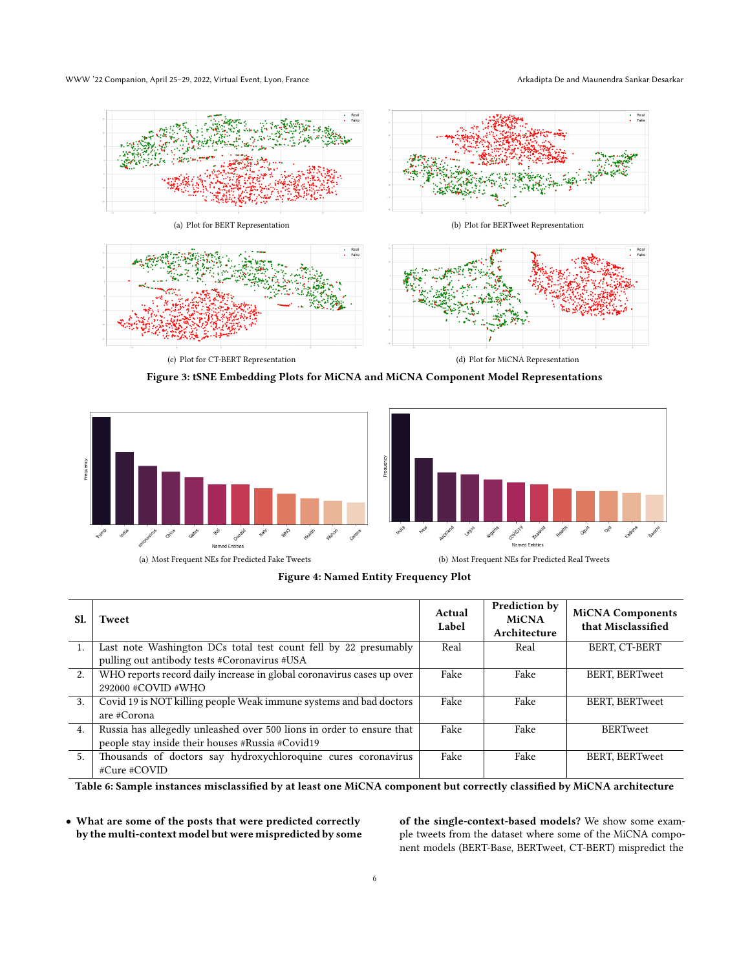<span id="page-5-0"></span>

**Figure 3: tSNE Embedding Plots for MiCNA and MiCNA Component Model Representations**

<span id="page-5-1"></span>





(a) Most Frequent NEs for Predicted Fake Tweets (b) Most Frequent NEs for Predicted Real Tweets

<span id="page-5-2"></span>**Figure 4: Named Entity Frequency Plot**

<span id="page-5-3"></span>

| SI.              | Tweet                                                                 | Actual<br>Label | Prediction by<br><b>MiCNA</b><br>Architecture | <b>MiCNA Components</b><br>that Misclassified |
|------------------|-----------------------------------------------------------------------|-----------------|-----------------------------------------------|-----------------------------------------------|
| 1.               | Last note Washington DCs total test count fell by 22 presumably       | Real            | Real                                          | BERT, CT-BERT                                 |
|                  | pulling out antibody tests #Coronavirus #USA                          |                 |                                               |                                               |
| 2.               | WHO reports record daily increase in global coronavirus cases up over | Fake            | Fake                                          | BERT, BERTweet                                |
|                  | 292000 #COVID #WHO                                                    |                 |                                               |                                               |
| 3.               | Covid 19 is NOT killing people Weak immune systems and bad doctors    | Fake            | Fake                                          | <b>BERT, BERTweet</b>                         |
|                  | are #Corona                                                           |                 |                                               |                                               |
| $\overline{4}$ . | Russia has allegedly unleashed over 500 lions in order to ensure that | Fake            | Fake                                          | <b>BERTweet</b>                               |
|                  | people stay inside their houses #Russia #Covid19                      |                 |                                               |                                               |
| 5.               | Thousands of doctors say hydroxychloroquine cures coronavirus         | Fake            | Fake                                          | <b>BERT, BERTweet</b>                         |
|                  | #Cure #COVID                                                          |                 |                                               |                                               |

**Table 6: Sample instances misclassified by at least one MiCNA component but correctly classified by MiCNA architecture**

• **What are some of the posts that were predicted correctly by the multi-context model but were mispredicted by some** **of the single-context-based models?** We show some example tweets from the dataset where some of the MiCNA component models (BERT-Base, BERTweet, CT-BERT) mispredict the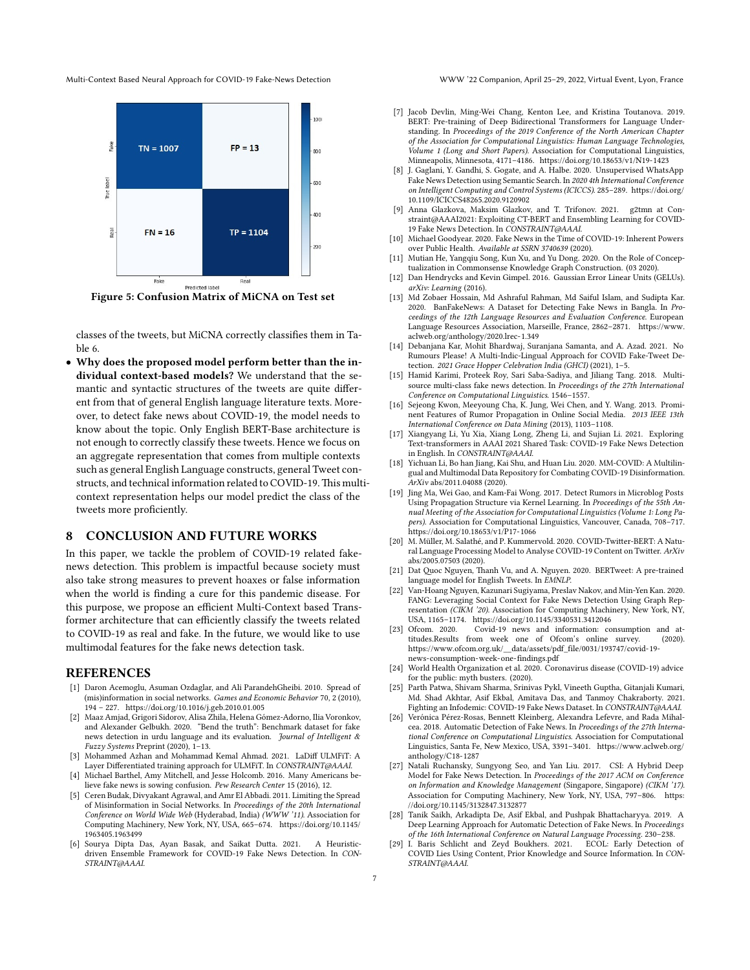<span id="page-6-29"></span>Multi-Context Based Neural Approach for COVID-19 Fake-News Detection WWW '22 Companion, April 25–29, 2022, Virtual Event, Lyon, France



**Figure 5: Confusion Matrix of MiCNA on Test set**

classes of the tweets, but MiCNA correctly classifies them in Table [6](#page-5-3).

• **Why does the proposed model perform better than the individual context-based models?** We understand that the semantic and syntactic structures of the tweets are quite different from that of general English language literature texts. Moreover, to detect fake news about COVID-19, the model needs to know about the topic. Only English BERT-Base architecture is not enough to correctly classify these tweets. Hence we focus on an aggregate representation that comes from multiple contexts such as general English Language constructs, general Tweet constructs, and technical information related to COVID-19.This multicontext representation helps our model predict the class of the tweets more proficiently.

#### **8 CONCLUSION AND FUTURE WORKS**

In this paper, we tackle the problem of COVID-19 related fakenews detection. This problem is impactful because society must also take strong measures to prevent hoaxes or false information when the world is finding a cure for this pandemic disease. For this purpose, we propose an efficient Multi-Context based Transformer architecture that can efficiently classify the tweets related to COVID-19 as real and fake. In the future, we would like to use multimodal features for the fake news detection task.

#### **REFERENCES**

- <span id="page-6-4"></span>[1] Daron Acemoglu, Asuman Ozdaglar, and Ali ParandehGheibi. 2010. Spread of (mis)information in social networks. *Games and Economic Behavior* 70, 2 (2010), 194 – 227. <https://doi.org/10.1016/j.geb.2010.01.005>
- <span id="page-6-11"></span>[2] Maaz Amjad, Grigori Sidorov, Alisa Zhila, Helena Gómez-Adorno, Ilia Voronkov, and Alexander Gelbukh. 2020. "Bend the truth": Benchmark dataset for fake news detection in urdu language and its evaluation. *Journal of Intelligent & Fuzzy Systems* Preprint (2020), 1–13.
- <span id="page-6-24"></span>[3] Mohammed Azhan and Mohammad Kemal Ahmad. 2021. LaDiff ULMFiT: A Layer Differentiated training approach for ULMFiT. In *CONSTRAINT@AAAI*.
- <span id="page-6-2"></span>[4] Michael Barthel, Amy Mitchell, and Jesse Holcomb. 2016. Many Americans believe fake news is sowing confusion. *Pew Research Center* 15 (2016), 12.
- <span id="page-6-5"></span>[5] Ceren Budak, Divyakant Agrawal, and Amr El Abbadi. 2011. Limiting the Spread of Misinformation in Social Networks. In *Proceedings of the 20th International Conference on World Wide Web* (Hyderabad, India) *(WWW '11)*. Association for Computing Machinery, New York, NY, USA, 665–674. [https://doi.org/10.1145/](https://doi.org/10.1145/1963405.1963499) [1963405.1963499](https://doi.org/10.1145/1963405.1963499)
- <span id="page-6-27"></span>[6] Sourya Dipta Das, Ayan Basak, and Saikat Dutta. 2021. A Heuristicdriven Ensemble Framework for COVID-19 Fake News Detection. In *CON-STRAINT@AAAI*.

- <span id="page-6-18"></span>[7] Jacob Devlin, Ming-Wei Chang, Kenton Lee, and Kristina Toutanova. 2019. BERT: Pre-training of Deep Bidirectional Transformers for Language Understanding. In *Proceedings of the 2019 Conference of the North American Chapter of the Association for Computational Linguistics: Human Language Technologies, Volume 1 (Long and Short Papers)*. Association for Computational Linguistics, Minneapolis, Minnesota, 4171–4186. <https://doi.org/10.18653/v1/N19-1423>
- <span id="page-6-13"></span>[8] J. Gaglani, Y. Gandhi, S. Gogate, and A. Halbe. 2020. Unsupervised WhatsApp Fake News Detection using Semantic Search. In *2020 4th International Conference on Intelligent Computing and Control Systems (ICICCS)*. 285–289. [https://doi.org/](https://doi.org/10.1109/ICICCS48265.2020.9120902) [10.1109/ICICCS48265.2020.9120902](https://doi.org/10.1109/ICICCS48265.2020.9120902)
- <span id="page-6-28"></span>[9] Anna Glazkova, Maksim Glazkov, and T. Trifonov. 2021. g2tmn at Constraint@AAAI2021: Exploiting CT-BERT and Ensembling Learning for COVID-19 Fake News Detection. In *CONSTRAINT@AAAI*.
- <span id="page-6-0"></span>[10] Michael Goodyear. 2020. Fake News in the Time of COVID-19: Inherent Powers over Public Health. *Available at SSRN 3740639* (2020).
- <span id="page-6-19"></span>[11] Mutian He, Yangqiu Song, Kun Xu, and Yu Dong. 2020. On the Role of Conceptualization in Commonsense Knowledge Graph Construction. (03 2020).
- <span id="page-6-22"></span>[12] Dan Hendrycks and Kevin Gimpel. 2016. Gaussian Error Linear Units (GELUs). *arXiv: Learning* (2016).
- <span id="page-6-12"></span>[13] Md Zobaer Hossain, Md Ashraful Rahman, Md Saiful Islam, and Sudipta Kar. 2020. BanFakeNews: A Dataset for Detecting Fake News in Bangla. In *Proceedings of the 12th Language Resources and Evaluation Conference*. European Language Resources Association, Marseille, France, 2862–2871. [https://www.](https://www.aclweb.org/anthology/2020.lrec-1.349) [aclweb.org/anthology/2020.lrec-1.349](https://www.aclweb.org/anthology/2020.lrec-1.349)
- <span id="page-6-16"></span>[14] Debanjana Kar, Mohit Bhardwaj, Suranjana Samanta, and A. Azad. 2021. No Rumours Please! A Multi-Indic-Lingual Approach for COVID Fake-Tweet Detection. *2021 Grace Hopper Celebration India (GHCI)* (2021), 1–5.
- <span id="page-6-9"></span>[15] Hamid Karimi, Proteek Roy, Sari Saba-Sadiya, and Jiliang Tang. 2018. Multisource multi-class fake news detection. In *Proceedings of the 27th International Conference on Computational Linguistics*. 1546–1557.
- <span id="page-6-6"></span>[16] Sejeong Kwon, Meeyoung Cha, K. Jung, Wei Chen, and Y. Wang. 2013. Prominent Features of Rumor Propagation in Online Social Media. *2013 IEEE 13th International Conference on Data Mining* (2013), 1103–1108.
- <span id="page-6-25"></span>[17] Xiangyang Li, Yu Xia, Xiang Long, Zheng Li, and Sujian Li. 2021. Exploring Text-transformers in AAAI 2021 Shared Task: COVID-19 Fake News Detection in English. In *CONSTRAINT@AAAI*.
- <span id="page-6-17"></span>[18] Yichuan Li, Bo han Jiang, Kai Shu, and Huan Liu. 2020. MM-COVID: A Multilingual and Multimodal Data Repository for Combating COVID-19 Disinformation. *ArXiv* abs/2011.04088 (2020).
- <span id="page-6-14"></span>[19] Jing Ma, Wei Gao, and Kam-Fai Wong. 2017. Detect Rumors in Microblog Posts Using Propagation Structure via Kernel Learning. In *Proceedings of the 55th Annual Meeting of the Association for Computational Linguistics (Volume 1: Long Papers)*. Association for Computational Linguistics, Vancouver, Canada, 708–717. <https://doi.org/10.18653/v1/P17-1066>
- <span id="page-6-21"></span>[20] M. Müller, M. Salathé, and P. Kummervold. 2020. COVID-Twitter-BERT: A Natural Language Processing Model to Analyse COVID-19 Content on Twitter. *ArXiv* abs/2005.07503 (2020).
- <span id="page-6-20"></span>[21] Dat Quoc Nguyen, Thanh Vu, and A. Nguyen. 2020. BERTweet: A pre-trained language model for English Tweets. In *EMNLP*.
- <span id="page-6-15"></span>[22] Van-Hoang Nguyen, Kazunari Sugiyama, Preslav Nakov, and Min-Yen Kan. 2020. FANG: Leveraging Social Context for Fake News Detection Using Graph Representation *(CIKM '20)*. Association for Computing Machinery, New York, NY, USA, 1165–1174. <https://doi.org/10.1145/3340531.3412046>
- <span id="page-6-1"></span>[23] Ofcom. 2020. Covid-19 news and information: consumption and attitudes.Results from week one of Ofcom's online survey. (2020). [https://www.ofcom.org.uk/\\_\\_data/assets/pdf\\_file/0031/193747/covid-19](https://www.ofcom.org.uk/__data/assets/pdf_file/0031/193747/covid-19-news-consumption-week-one-findings.pdf) [news-consumption-week-one-findings.pdf](https://www.ofcom.org.uk/__data/assets/pdf_file/0031/193747/covid-19-news-consumption-week-one-findings.pdf)
- <span id="page-6-3"></span>[24] World Health Organization et al. 2020. Coronavirus disease (COVID-19) advice for the public: myth busters. (2020).
- <span id="page-6-23"></span>[25] Parth Patwa, Shivam Sharma, Srinivas Pykl, Vineeth Guptha, Gitanjali Kumari, Md. Shad Akhtar, Asif Ekbal, Amitava Das, and Tanmoy Chakraborty. 2021. Fighting an Infodemic: COVID-19 Fake News Dataset. In *CONSTRAINT@AAAI*.
- <span id="page-6-7"></span>[26] Verónica Pérez-Rosas, Bennett Kleinberg, Alexandra Lefevre, and Rada Mihalcea. 2018. Automatic Detection of Fake News. In *Proceedings of the 27th International Conference on Computational Linguistics*. Association for Computational Linguistics, Santa Fe, New Mexico, USA, 3391–3401. [https://www.aclweb.org/](https://www.aclweb.org/anthology/C18-1287) [anthology/C18-1287](https://www.aclweb.org/anthology/C18-1287)
- <span id="page-6-8"></span>[27] Natali Ruchansky, Sungyong Seo, and Yan Liu. 2017. CSI: A Hybrid Deep Model for Fake News Detection. In *Proceedings of the 2017 ACM on Conference on Information and Knowledge Management* (Singapore, Singapore) *(CIKM '17)*. Association for Computing Machinery, New York, NY, USA, 797–806. [https:](https://doi.org/10.1145/3132847.3132877) [//doi.org/10.1145/3132847.3132877](https://doi.org/10.1145/3132847.3132877)
- <span id="page-6-10"></span>[28] Tanik Saikh, Arkadipta De, Asif Ekbal, and Pushpak Bhattacharyya. 2019. A Deep Learning Approach for Automatic Detection of Fake News. In *Proceedings of the 16th International Conference on Natural Language Processing*. 230–238.
- <span id="page-6-26"></span>[29] I. Baris Schlicht and Zeyd Boukhers. 2021. ECOL: Early Detection of COVID Lies Using Content, Prior Knowledge and Source Information. In *CON-STRAINT@AAAI*.